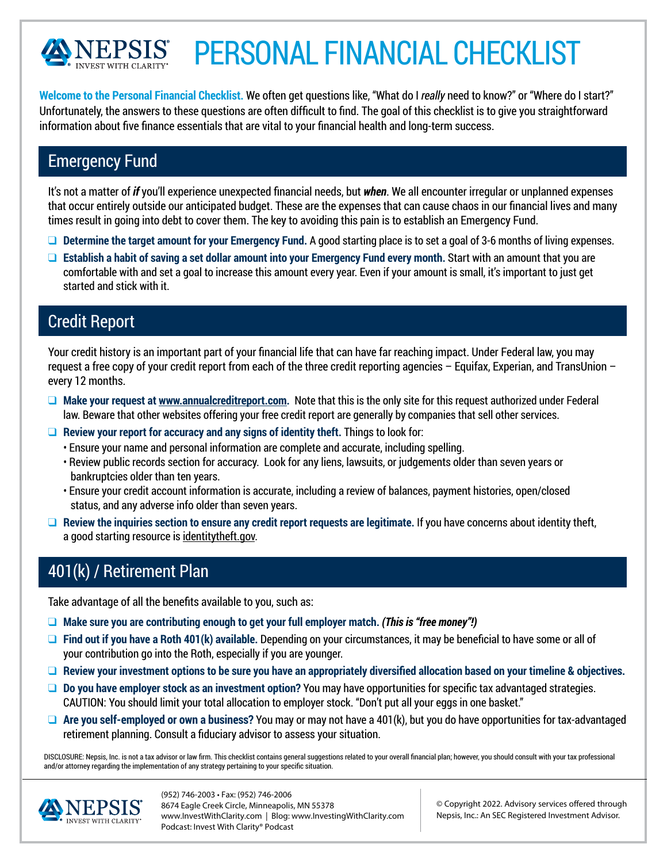

# PERSONAL FINANCIAL CHECKLIST

**Welcome to the Personal Financial Checklist.** We often get questions like, "What do I *really* need to know?" or "Where do I start?" Unfortunately, the answers to these questions are often difficult to find. The goal of this checklist is to give you straightforward information about five finance essentials that are vital to your financial health and long-term success.

#### Emergency Fund

It's not a matter of *if* you'll experience unexpected financial needs, but *when*. We all encounter irregular or unplanned expenses that occur entirely outside our anticipated budget. These are the expenses that can cause chaos in our financial lives and many times result in going into debt to cover them. The key to avoiding this pain is to establish an Emergency Fund.

- **D** Determine the target amount for your Emergency Fund. A good starting place is to set a goal of 3-6 months of living expenses.
- □ Establish a habit of saving a set dollar amount into your Emergency Fund every month. Start with an amount that you are comfortable with and set a goal to increase this amount every year. Even if your amount is small, it's important to just get started and stick with it.

#### Credit Report

Your credit history is an important part of your financial life that can have far reaching impact. Under Federal law, you may request a free copy of your credit report from each of the three credit reporting agencies – Equifax, Experian, and TransUnion – every 12 months.

- □ Make your request at www.annualcreditreport.com. Note that this is the only site for this request authorized under Federal law. Beware that other websites offering your free credit report are generally by companies that sell other services.
- **Q** Review your report for accuracy and any signs of identity theft. Things to look for:
	- Ensure your name and personal information are complete and accurate, including spelling.
	- Review public records section for accuracy. Look for any liens, lawsuits, or judgements older than seven years or bankruptcies older than ten years.
	- Ensure your credit account information is accurate, including a review of balances, payment histories, open/closed status, and any adverse info older than seven years.
- **Q** Review the inquiries section to ensure any credit report requests are legitimate. If you have concerns about identity theft, a good starting resource is identitytheft.gov.

## 401(k) / Retirement Plan

Take advantage of all the benefits available to you, such as:

- **a** Make sure you are contributing enough to get your full employer match. *(This is "free money"!)*
- □ Find out if you have a Roth 401(k) available. Depending on your circumstances, it may be beneficial to have some or all of your contribution go into the Roth, especially if you are younger.
- □ Review your investment options to be sure you have an appropriately diversified allocation based on your timeline & objectives.
- □ **Do you have employer stock as an investment option?** You may have opportunities for specific tax advantaged strategies. CAUTION: You should limit your total allocation to employer stock. "Don't put all your eggs in one basket."
- **□ Are you self-employed or own a business?** You may or may not have a 401(k), but you do have opportunities for tax-advantaged retirement planning. Consult a fiduciary advisor to assess your situation.

DISCLOSURE: Nepsis, Inc. is not a tax advisor or law firm. This checklist contains general suggestions related to your overall financial plan; however, you should consult with your tax professional and/or attorney regarding the implementation of any strategy pertaining to your specific situation.



(952) 746-2003 • Fax: (952) 746-2006 8674 Eagle Creek Circle, Minneapolis, MN 55378 www.InvestWithClarity.com | Blog: www.InvestingWithClarity.com Podcast: Invest With Clarity® Podcast

© Copyright 2022. Advisory services offered through Nepsis, Inc.: An SEC Registered Investment Advisor.